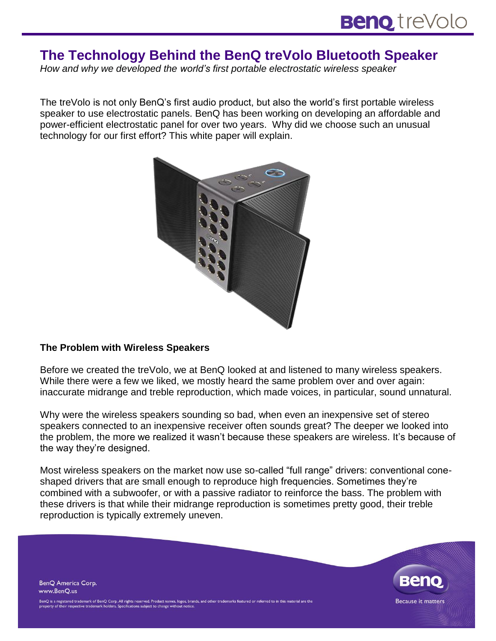# **The Technology Behind the BenQ treVolo Bluetooth Speaker**

*How and why we developed the world's first portable electrostatic wireless speaker*

The treVolo is not only BenQ's first audio product, but also the world's first portable wireless speaker to use electrostatic panels. BenQ has been working on developing an affordable and power-efficient electrostatic panel for over two years. Why did we choose such an unusual technology for our first effort? This white paper will explain.



#### **The Problem with Wireless Speakers**

Before we created the treVolo, we at BenQ looked at and listened to many wireless speakers. While there were a few we liked, we mostly heard the same problem over and over again: inaccurate midrange and treble reproduction, which made voices, in particular, sound unnatural.

Why were the wireless speakers sounding so bad, when even an inexpensive set of stereo speakers connected to an inexpensive receiver often sounds great? The deeper we looked into the problem, the more we realized it wasn't because these speakers are wireless. It's because of the way they're designed.

Most wireless speakers on the market now use so-called "full range" drivers: conventional coneshaped drivers that are small enough to reproduce high frequencies. Sometimes they're combined with a subwoofer, or with a passive radiator to reinforce the bass. The problem with these drivers is that while their midrange reproduction is sometimes pretty good, their treble reproduction is typically extremely uneven.

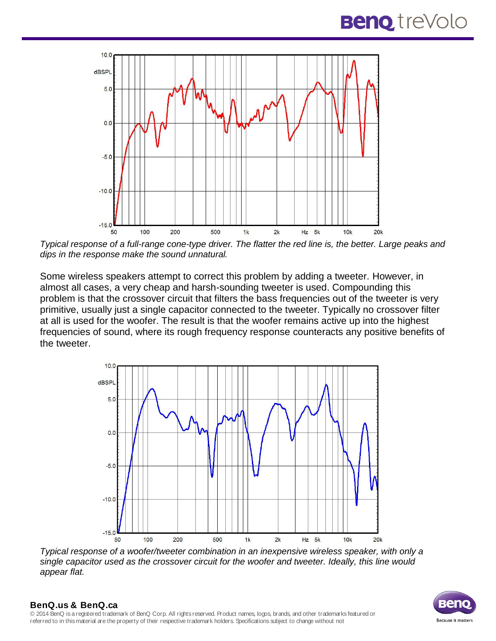

*Typical response of a full-range cone-type driver. The flatter the red line is, the better. Large peaks and dips in the response make the sound unnatural.*

Some wireless speakers attempt to correct this problem by adding a tweeter. However, in almost all cases, a very cheap and harsh-sounding tweeter is used. Compounding this problem is that the crossover circuit that filters the bass frequencies out of the tweeter is very primitive, usually just a single capacitor connected to the tweeter. Typically no crossover filter at all is used for the woofer. The result is that the woofer remains active up into the highest frequencies of sound, where its rough frequency response counteracts any positive benefits of the tweeter.



*Typical response of a woofer/tweeter combination in an inexpensive wireless speaker, with only a single capacitor used as the crossover circuit for the woofer and tweeter. Ideally, this line would appear flat.*

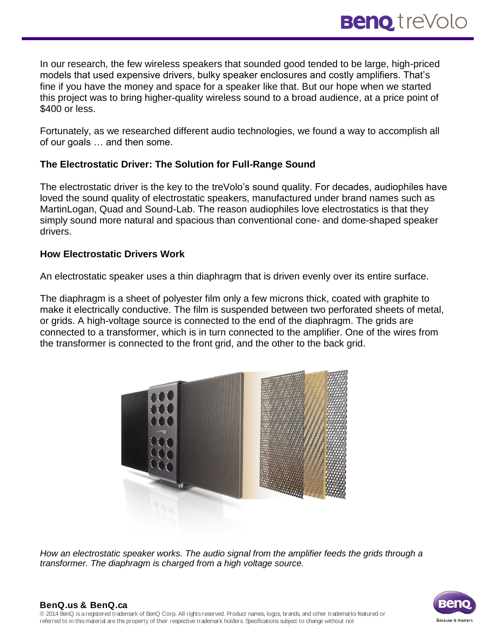In our research, the few wireless speakers that sounded good tended to be large, high-priced models that used expensive drivers, bulky speaker enclosures and costly amplifiers. That's fine if you have the money and space for a speaker like that. But our hope when we started this project was to bring higher-quality wireless sound to a broad audience, at a price point of \$400 or less.

Fortunately, as we researched different audio technologies, we found a way to accomplish all of our goals … and then some.

### **The Electrostatic Driver: The Solution for Full-Range Sound**

The electrostatic driver is the key to the treVolo's sound quality. For decades, audiophiles have loved the sound quality of electrostatic speakers, manufactured under brand names such as MartinLogan, Quad and Sound-Lab. The reason audiophiles love electrostatics is that they simply sound more natural and spacious than conventional cone- and dome-shaped speaker drivers.

#### **How Electrostatic Drivers Work**

An electrostatic speaker uses a thin diaphragm that is driven evenly over its entire surface.

The diaphragm is a sheet of polyester film only a few microns thick, coated with graphite to make it electrically conductive. The film is suspended between two perforated sheets of metal, or grids. A high-voltage source is connected to the end of the diaphragm. The grids are connected to a transformer, which is in turn connected to the amplifier. One of the wires from the transformer is connected to the front grid, and the other to the back grid.



*How an electrostatic speaker works. The audio signal from the amplifier feeds the grids through a transformer. The diaphragm is charged from a high voltage source.*

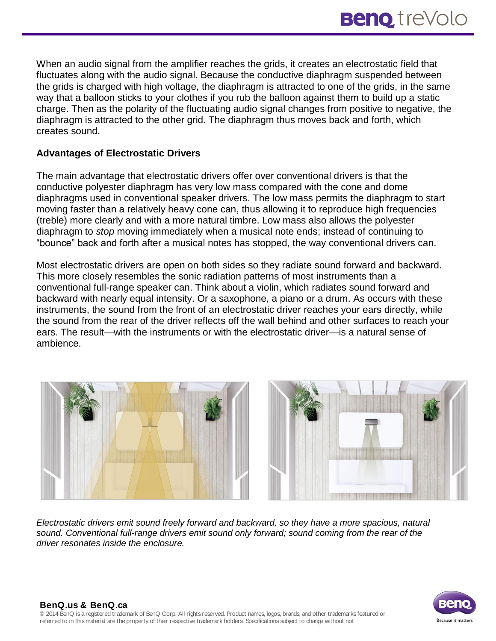When an audio signal from the amplifier reaches the grids, it creates an electrostatic field that fluctuates along with the audio signal. Because the conductive diaphragm suspended between the grids is charged with high voltage, the diaphragm is attracted to one of the grids, in the same way that a balloon sticks to your clothes if you rub the balloon against them to build up a static charge. Then as the polarity of the fluctuating audio signal changes from positive to negative, the diaphragm is attracted to the other grid. The diaphragm thus moves back and forth, which creates sound.

## **Advantages of Electrostatic Drivers**

The main advantage that electrostatic drivers offer over conventional drivers is that the conductive polyester diaphragm has very low mass compared with the cone and dome diaphragms used in conventional speaker drivers. The low mass permits the diaphragm to start moving faster than a relatively heavy cone can, thus allowing it to reproduce high frequencies (treble) more clearly and with a more natural timbre. Low mass also allows the polyester diaphragm to *stop* moving immediately when a musical note ends; instead of continuing to "bounce" back and forth after a musical notes has stopped, the way conventional drivers can.

Most electrostatic drivers are open on both sides so they radiate sound forward and backward. This more closely resembles the sonic radiation patterns of most instruments than a conventional full-range speaker can. Think about a violin, which radiates sound forward and backward with nearly equal intensity. Or a saxophone, a piano or a drum. As occurs with these instruments, the sound from the front of an electrostatic driver reaches your ears directly, while the sound from the rear of the driver reflects off the wall behind and other surfaces to reach your ears. The result—with the instruments or with the electrostatic driver—is a natural sense of ambience.





*Electrostatic drivers emit sound freely forward and backward, so they have a more spacious, natural sound. Conventional full-range drivers emit sound only forward; sound coming from the rear of the driver resonates inside the enclosure.*

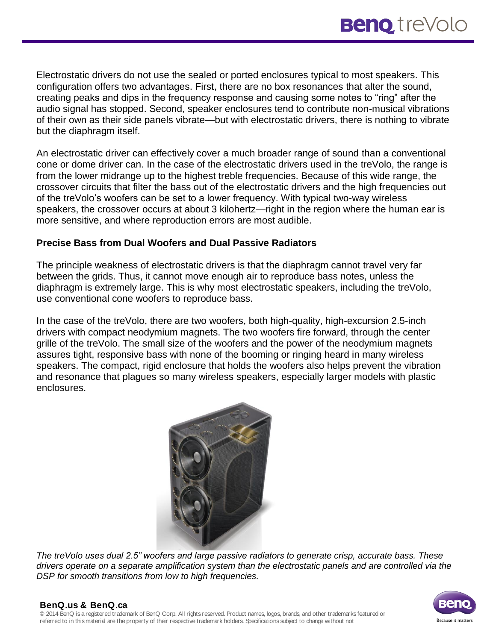Electrostatic drivers do not use the sealed or ported enclosures typical to most speakers. This configuration offers two advantages. First, there are no box resonances that alter the sound, creating peaks and dips in the frequency response and causing some notes to "ring" after the audio signal has stopped. Second, speaker enclosures tend to contribute non-musical vibrations of their own as their side panels vibrate—but with electrostatic drivers, there is nothing to vibrate but the diaphragm itself.

An electrostatic driver can effectively cover a much broader range of sound than a conventional cone or dome driver can. In the case of the electrostatic drivers used in the treVolo, the range is from the lower midrange up to the highest treble frequencies. Because of this wide range, the crossover circuits that filter the bass out of the electrostatic drivers and the high frequencies out of the treVolo's woofers can be set to a lower frequency. With typical two-way wireless speakers, the crossover occurs at about 3 kilohertz—right in the region where the human ear is more sensitive, and where reproduction errors are most audible.

#### **Precise Bass from Dual Woofers and Dual Passive Radiators**

The principle weakness of electrostatic drivers is that the diaphragm cannot travel very far between the grids. Thus, it cannot move enough air to reproduce bass notes, unless the diaphragm is extremely large. This is why most electrostatic speakers, including the treVolo, use conventional cone woofers to reproduce bass.

In the case of the treVolo, there are two woofers, both high-quality, high-excursion 2.5-inch drivers with compact neodymium magnets. The two woofers fire forward, through the center grille of the treVolo. The small size of the woofers and the power of the neodymium magnets assures tight, responsive bass with none of the booming or ringing heard in many wireless speakers. The compact, rigid enclosure that holds the woofers also helps prevent the vibration and resonance that plagues so many wireless speakers, especially larger models with plastic enclosures.



*The treVolo uses dual 2.5" woofers and large passive radiators to generate crisp, accurate bass. These drivers operate on a separate amplification system than the electrostatic panels and are controlled via the DSP for smooth transitions from low to high frequencies.*

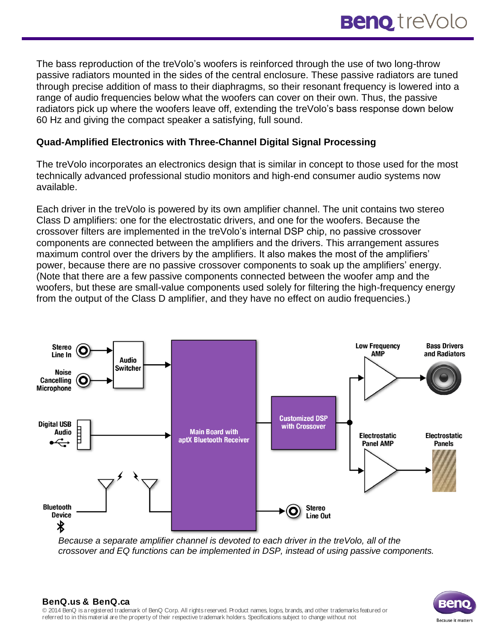The bass reproduction of the treVolo's woofers is reinforced through the use of two long-throw passive radiators mounted in the sides of the central enclosure. These passive radiators are tuned through precise addition of mass to their diaphragms, so their resonant frequency is lowered into a range of audio frequencies below what the woofers can cover on their own. Thus, the passive radiators pick up where the woofers leave off, extending the treVolo's bass response down below 60 Hz and giving the compact speaker a satisfying, full sound.

### **Quad-Amplified Electronics with Three-Channel Digital Signal Processing**

The treVolo incorporates an electronics design that is similar in concept to those used for the most technically advanced professional studio monitors and high-end consumer audio systems now available.

Each driver in the treVolo is powered by its own amplifier channel. The unit contains two stereo Class D amplifiers: one for the electrostatic drivers, and one for the woofers. Because the crossover filters are implemented in the treVolo's internal DSP chip, no passive crossover components are connected between the amplifiers and the drivers. This arrangement assures maximum control over the drivers by the amplifiers. It also makes the most of the amplifiers' power, because there are no passive crossover components to soak up the amplifiers' energy. (Note that there are a few passive components connected between the woofer amp and the woofers, but these are small-value components used solely for filtering the high-frequency energy from the output of the Class D amplifier, and they have no effect on audio frequencies.)



*Because a separate amplifier channel is devoted to each driver in the treVolo, all of the crossover and EQ functions can be implemented in DSP, instead of using passive components.*



#### **BenQ.us & BenQ.ca** © 2014 BenQ is a registered trademark of BenQ Corp. All rights reserved. Product names, logos, brands, and other trademarks featured or referred to in this material are the property of their respective trademark holders. Specifications subject to change without not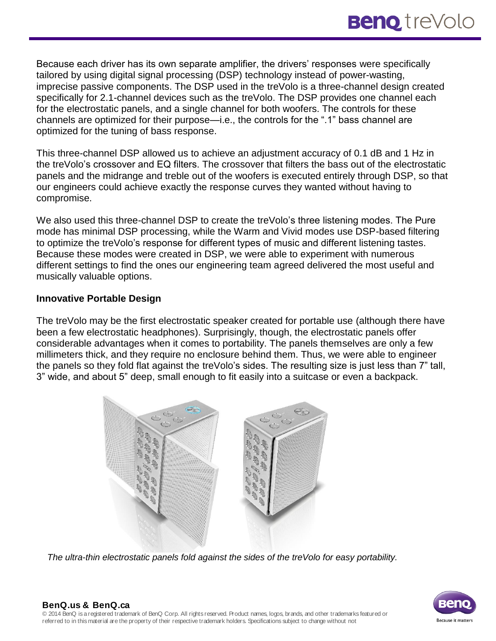Because each driver has its own separate amplifier, the drivers' responses were specifically tailored by using digital signal processing (DSP) technology instead of power-wasting, imprecise passive components. The DSP used in the treVolo is a three-channel design created specifically for 2.1-channel devices such as the treVolo. The DSP provides one channel each for the electrostatic panels, and a single channel for both woofers. The controls for these channels are optimized for their purpose—i.e., the controls for the ".1" bass channel are optimized for the tuning of bass response.

This three-channel DSP allowed us to achieve an adjustment accuracy of 0.1 dB and 1 Hz in the treVolo's crossover and EQ filters. The crossover that filters the bass out of the electrostatic panels and the midrange and treble out of the woofers is executed entirely through DSP, so that our engineers could achieve exactly the response curves they wanted without having to compromise.

We also used this three-channel DSP to create the treVolo's three listening modes. The Pure mode has minimal DSP processing, while the Warm and Vivid modes use DSP-based filtering to optimize the treVolo's response for different types of music and different listening tastes. Because these modes were created in DSP, we were able to experiment with numerous different settings to find the ones our engineering team agreed delivered the most useful and musically valuable options.

#### **Innovative Portable Design**

The treVolo may be the first electrostatic speaker created for portable use (although there have been a few electrostatic headphones). Surprisingly, though, the electrostatic panels offer considerable advantages when it comes to portability. The panels themselves are only a few millimeters thick, and they require no enclosure behind them. Thus, we were able to engineer the panels so they fold flat against the treVolo's sides. The resulting size is just less than 7" tall, 3" wide, and about 5" deep, small enough to fit easily into a suitcase or even a backpack.



*The ultra-thin electrostatic panels fold against the sides of the treVolo for easy portability.*